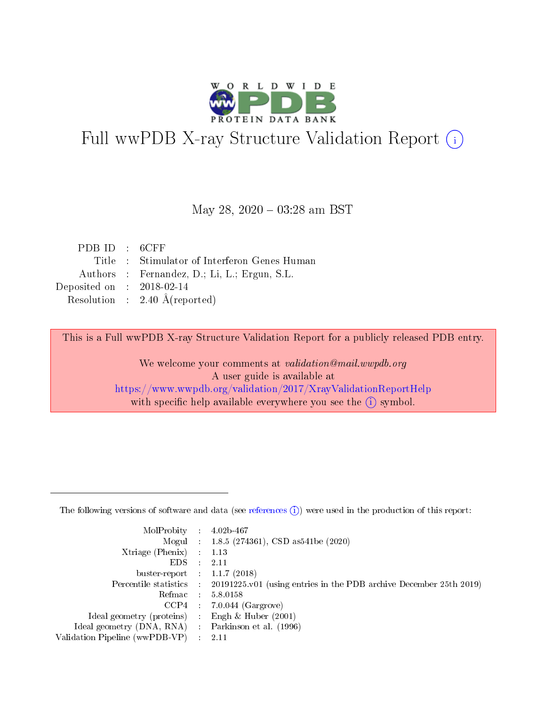

# Full wwPDB X-ray Structure Validation Report (i)

#### May 28, 2020 - 03:28 am BST

| PDBID : 6CFF                |                                              |
|-----------------------------|----------------------------------------------|
|                             | Title : Stimulator of Interferon Genes Human |
|                             | Authors : Fernandez, D.; Li, L.; Ergun, S.L. |
| Deposited on : $2018-02-14$ |                                              |
|                             | Resolution : $2.40 \text{ Å}$ (reported)     |

This is a Full wwPDB X-ray Structure Validation Report for a publicly released PDB entry.

We welcome your comments at validation@mail.wwpdb.org A user guide is available at <https://www.wwpdb.org/validation/2017/XrayValidationReportHelp> with specific help available everywhere you see the  $(i)$  symbol.

The following versions of software and data (see [references](https://www.wwpdb.org/validation/2017/XrayValidationReportHelp#references)  $(1)$ ) were used in the production of this report:

| MolProbity :                   |               | $4.02b - 467$                                                               |
|--------------------------------|---------------|-----------------------------------------------------------------------------|
|                                |               | Mogul : $1.8.5$ (274361), CSD as 541be (2020)                               |
| Xtriage (Phenix)               | $\mathcal{L}$ | 1.13                                                                        |
| EDS.                           |               | 2.11                                                                        |
| buster-report : $1.1.7$ (2018) |               |                                                                             |
| Percentile statistics :        |               | $20191225 \text{v}01$ (using entries in the PDB archive December 25th 2019) |
| Refmac :                       |               | 5.8.0158                                                                    |
| CCP4                           |               | $7.0.044$ (Gargrove)                                                        |
| Ideal geometry (proteins) :    |               | Engh $\&$ Huber (2001)                                                      |
| Ideal geometry (DNA, RNA) :    |               | Parkinson et al. (1996)                                                     |
| Validation Pipeline (wwPDB-VP) | $\mathcal{L}$ | 2.11                                                                        |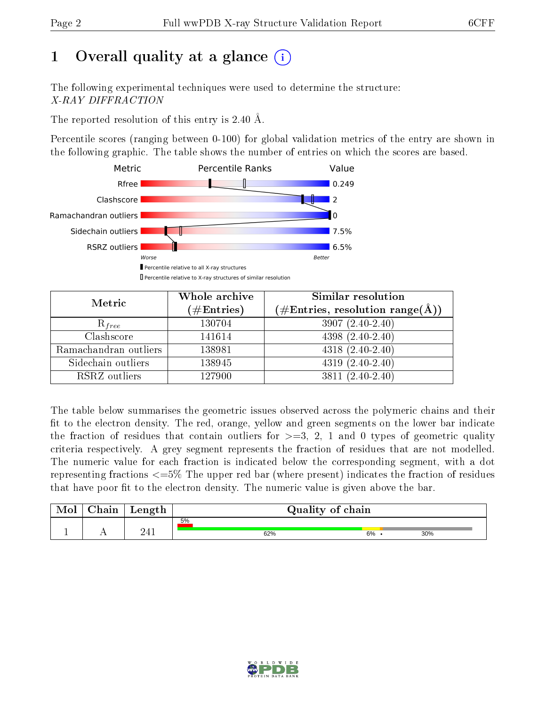## 1 [O](https://www.wwpdb.org/validation/2017/XrayValidationReportHelp#overall_quality)verall quality at a glance  $(i)$

The following experimental techniques were used to determine the structure: X-RAY DIFFRACTION

The reported resolution of this entry is 2.40 Å.

Percentile scores (ranging between 0-100) for global validation metrics of the entry are shown in the following graphic. The table shows the number of entries on which the scores are based.



| Metric                | Whole archive<br>$(\#\text{Entries})$ | Similar resolution<br>$(\#\text{Entries},\,\text{resolution}\,\,\text{range}(\textup{\AA}))$ |
|-----------------------|---------------------------------------|----------------------------------------------------------------------------------------------|
| $R_{free}$            | 130704                                | $3907(2.40-2.40)$                                                                            |
| Clashscore            | 141614                                | $4398(2.40-2.40)$                                                                            |
| Ramachandran outliers | 138981                                | $4318 (2.40 - 2.40)$                                                                         |
| Sidechain outliers    | 138945                                | $4319(2.40-2.40)$                                                                            |
| RSRZ outliers         | 127900                                | $3811 (2.40 - 2.40)$                                                                         |

The table below summarises the geometric issues observed across the polymeric chains and their fit to the electron density. The red, orange, yellow and green segments on the lower bar indicate the fraction of residues that contain outliers for  $>=3, 2, 1$  and 0 types of geometric quality criteria respectively. A grey segment represents the fraction of residues that are not modelled. The numeric value for each fraction is indicated below the corresponding segment, with a dot representing fractions <=5% The upper red bar (where present) indicates the fraction of residues that have poor fit to the electron density. The numeric value is given above the bar.

| Mol | $\gamma$ hain | Length         | Quality of chain |    |     |  |  |
|-----|---------------|----------------|------------------|----|-----|--|--|
|     |               |                | 5%               |    |     |  |  |
| л.  | . .           | ດ / 1<br>- - - | 62%              | 6% | 30% |  |  |

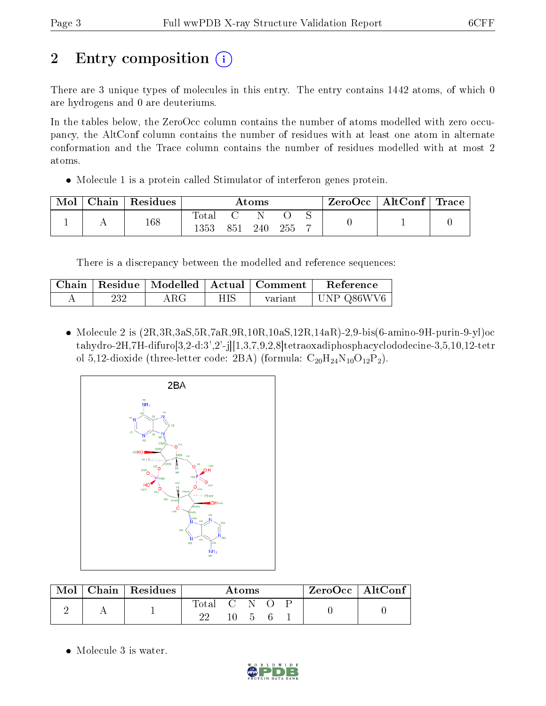## 2 Entry composition  $\binom{1}{1}$

There are 3 unique types of molecules in this entry. The entry contains 1442 atoms, of which 0 are hydrogens and 0 are deuteriums.

In the tables below, the ZeroOcc column contains the number of atoms modelled with zero occupancy, the AltConf column contains the number of residues with at least one atom in alternate conformation and the Trace column contains the number of residues modelled with at most 2 atoms.

Molecule 1 is a protein called Stimulator of interferon genes protein.

| Mol | Chain   Residues | Atoms              |     |     | ZeroOcc   AltConf   Trace |  |  |  |
|-----|------------------|--------------------|-----|-----|---------------------------|--|--|--|
|     | 168              | total<br>$^{1353}$ | 851 | 240 | 255                       |  |  |  |

There is a discrepancy between the modelled and reference sequences:

|     |     |     | Chain   Residue   Modelled   Actual   Comment | Reference  |
|-----|-----|-----|-----------------------------------------------|------------|
| 232 | ARG | НIS | variant                                       | UNP Q86WV6 |

• Molecule 2 is  $(2R,3R,3aS,5R,7aR,9R,10R,10aS,12R,14aR)-2,9-bis(6-amino-9H-purin-9-yl)oc$ tahydro-2H,7H-difuro[3,2-d:3',2'-j][1,3,7,9,2,8]tetraoxadiphosphacyclododecine-3,5,10,12-tetr ol 5,12-dioxide (three-letter code: 2BA) (formula:  $C_{20}H_{24}N_{10}O_{12}P_2$ ).



| Mol | $\alpha$ Chain   Residues | Atoms       |  |                      | $ZeroOcc \mid AltConf$ |  |  |
|-----|---------------------------|-------------|--|----------------------|------------------------|--|--|
|     |                           | Total C N O |  | $10 \quad 5 \quad 6$ |                        |  |  |

• Molecule 3 is water.

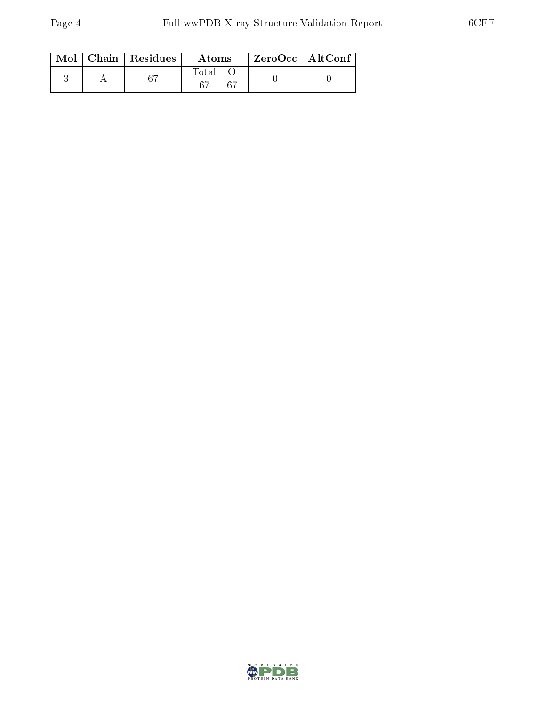|  | $Mol$   Chain   Residues | Atoms | ZeroOcc   AltConf |
|--|--------------------------|-------|-------------------|
|  |                          | Total |                   |

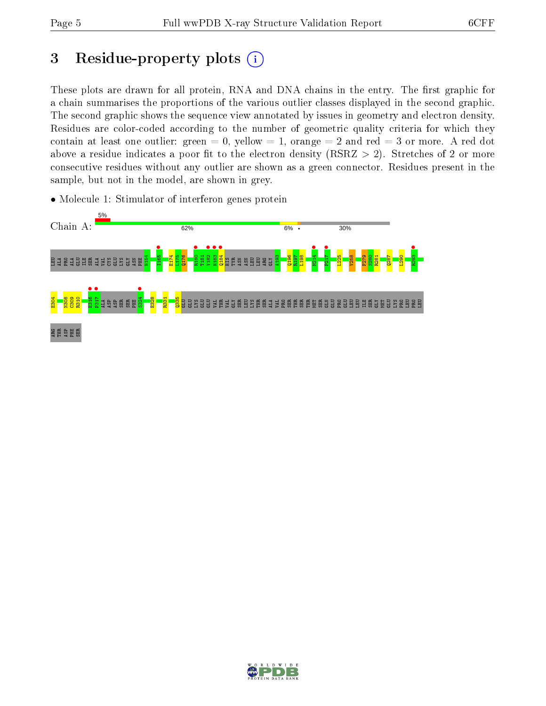## 3 Residue-property plots  $(i)$

These plots are drawn for all protein, RNA and DNA chains in the entry. The first graphic for a chain summarises the proportions of the various outlier classes displayed in the second graphic. The second graphic shows the sequence view annotated by issues in geometry and electron density. Residues are color-coded according to the number of geometric quality criteria for which they contain at least one outlier: green  $= 0$ , yellow  $= 1$ , orange  $= 2$  and red  $= 3$  or more. A red dot above a residue indicates a poor fit to the electron density (RSRZ  $> 2$ ). Stretches of 2 or more consecutive residues without any outlier are shown as a green connector. Residues present in the sample, but not in the model, are shown in grey.

- Chain A: 62%  $6\%$  . 30% I165 • R180 •  $\frac{182}{133}$ N183 •  $\frac{184}{184}$ **•**<br>M214 P217 • **R**293 N154 E174 L175 Q176 T181 A193 Q196 R197 L198 L225 V258 F279 S280 R281  $287$ L290 a da da a a sa sa TYR a a B B B ASN PHE HIS ARG GLY •<br>E316<br>Pa17 P317 •  $s324$  • E304 N308 C309 R310 E328 R331 Q335 ALA ASP ASP SER SER PHE ខ្លួខ្លួខ្លួ VAL THR VAL GLY SER LEU LYS THR SER ALA VAL PRO SER THR SER THR MET SER GLN GLU PRO GLU LEU LEU ILE SER GLY MET GLU LYS PRO LEU PRO LEU ARG THR ASP PHE SER
- Molecule 1: Stimulator of interferon genes protein

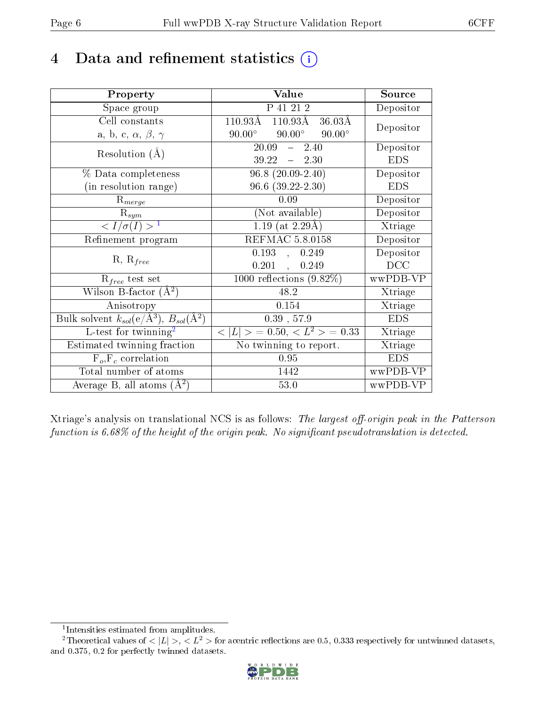## 4 Data and refinement statistics  $(i)$

| Property                                                         | Value                                            | Source     |
|------------------------------------------------------------------|--------------------------------------------------|------------|
| Space group                                                      | P 41 21 2                                        | Depositor  |
| Cell constants                                                   | $110.93\AA$ $\overline{110.93\AA}$<br>$36.03\AA$ | Depositor  |
| a, b, c, $\alpha$ , $\beta$ , $\gamma$                           | $90.00^\circ$<br>$90.00^\circ$<br>$90.00^\circ$  |            |
| Resolution $(A)$                                                 | 20.09<br>$-2.40$                                 | Depositor  |
|                                                                  | $39.22 - 2.30$                                   | <b>EDS</b> |
| % Data completeness                                              | $96.8(20.09-2.40)$                               | Depositor  |
| (in resolution range)                                            | $96.6$ $(39.22 - 2.30)$                          | <b>EDS</b> |
| $R_{merge}$                                                      | 0.09                                             | Depositor  |
| $\mathrm{R}_{sym}$                                               | (Not available)                                  | Depositor  |
| $\langle I/\sigma(I) \rangle^{-1}$                               | $1.19$ (at 2.29Å)                                | Xtriage    |
| Refinement program                                               | <b>REFMAC 5.8.0158</b>                           | Depositor  |
|                                                                  | 0.193,<br>0.249                                  | Depositor  |
| $R, R_{free}$                                                    | 0.201,<br>0.249                                  | DCC        |
| $R_{free}$ test set                                              | $1000$ reflections $(9.82\%)$                    | wwPDB-VP   |
| Wilson B-factor $(A^2)$                                          | 48.2                                             | Xtriage    |
| Anisotropy                                                       | 0.154                                            | Xtriage    |
| Bulk solvent $k_{sol}(\text{e}/\text{A}^3), B_{sol}(\text{A}^2)$ | $0.39$ , 57.9                                    | <b>EDS</b> |
| L-test for $\mathrm{twinning}^2$                                 | $< L >$ = 0.50, $< L^2 >$ = 0.33                 | Xtriage    |
| Estimated twinning fraction                                      | No twinning to report.                           | Xtriage    |
| $F_o, F_c$ correlation                                           | 0.95                                             | <b>EDS</b> |
| Total number of atoms                                            | 1442                                             | wwPDB-VP   |
| Average B, all atoms $(A^2)$                                     | 53.0                                             | wwPDB-VP   |

Xtriage's analysis on translational NCS is as follows: The largest off-origin peak in the Patterson function is  $6.68\%$  of the height of the origin peak. No significant pseudotranslation is detected.

<sup>&</sup>lt;sup>2</sup>Theoretical values of  $\langle |L| \rangle$ ,  $\langle L^2 \rangle$  for acentric reflections are 0.5, 0.333 respectively for untwinned datasets, and 0.375, 0.2 for perfectly twinned datasets.



<span id="page-5-1"></span><span id="page-5-0"></span><sup>1</sup> Intensities estimated from amplitudes.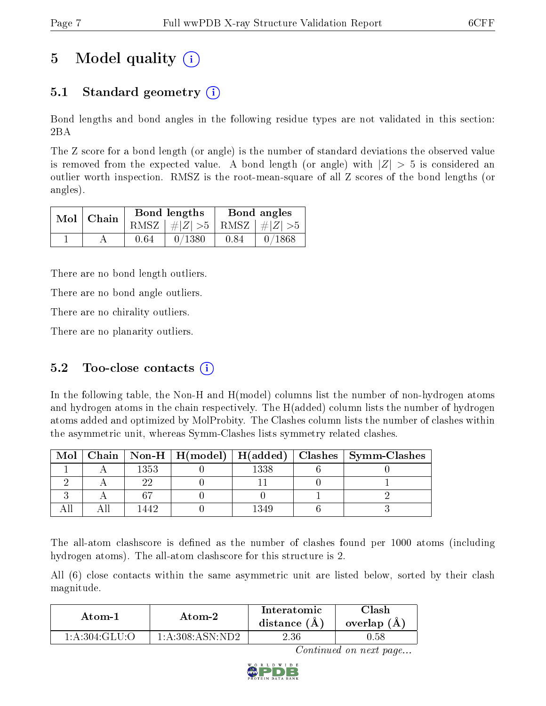## 5 Model quality  $(i)$

## 5.1 Standard geometry  $\overline{()}$

Bond lengths and bond angles in the following residue types are not validated in this section: 2BA

The Z score for a bond length (or angle) is the number of standard deviations the observed value is removed from the expected value. A bond length (or angle) with  $|Z| > 5$  is considered an outlier worth inspection. RMSZ is the root-mean-square of all Z scores of the bond lengths (or angles).

| $Mol$   Chain |      | Bond lengths                    | Bond angles |        |  |
|---------------|------|---------------------------------|-------------|--------|--|
|               |      | RMSZ $ #Z  > 5$ RMSZ $ #Z  > 5$ |             |        |  |
|               | 0.64 | 0/1380                          | 0.84        | 0/1868 |  |

There are no bond length outliers.

There are no bond angle outliers.

There are no chirality outliers.

There are no planarity outliers.

### 5.2 Too-close contacts  $(i)$

In the following table, the Non-H and H(model) columns list the number of non-hydrogen atoms and hydrogen atoms in the chain respectively. The H(added) column lists the number of hydrogen atoms added and optimized by MolProbity. The Clashes column lists the number of clashes within the asymmetric unit, whereas Symm-Clashes lists symmetry related clashes.

| Mol |      |      | Chain   Non-H   H(model)   H(added)   Clashes   Symm-Clashes |
|-----|------|------|--------------------------------------------------------------|
|     | 1353 | 1338 |                                                              |
|     |      |      |                                                              |
|     |      |      |                                                              |
|     |      | 340  |                                                              |

The all-atom clashscore is defined as the number of clashes found per 1000 atoms (including hydrogen atoms). The all-atom clashscore for this structure is 2.

All (6) close contacts within the same asymmetric unit are listed below, sorted by their clash magnitude.

| Atom-1         | Atom-2               | Interatomic<br>distance $(A)$ | `lash<br>overlap (A) |
|----------------|----------------------|-------------------------------|----------------------|
| -1:A:304:GLU:O | 1: A:308: A SN: N D2 | $2.36\,$                      | 1.58                 |

Continued on next page...

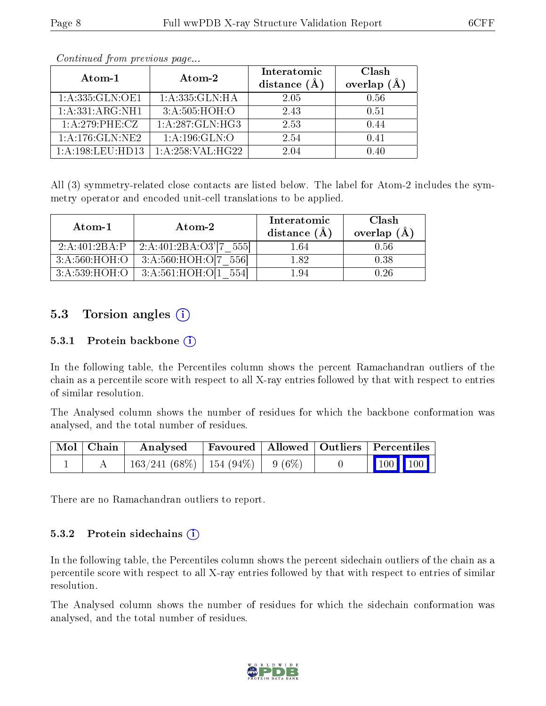| Atom-1                  | Atom-2            | Interatomic<br>distance $(A)$ | Clash<br>overlap $(A)$ |
|-------------------------|-------------------|-------------------------------|------------------------|
| 1: A: 335: GLN: OE1     | 1: A:335: GLN: HA | 2.05                          | 0.56                   |
| 1:A:331:ARG:NH1         | 3:A:505:HOH:O     | 2.43                          | 0.51                   |
| $1: A:279:$ PHE:CZ      | 1:A:287:GLN:HG3   | 2.53                          | 0.44                   |
| 1: A:176: GLN: NE2      | 1: A:196: GLN:O   | 2.54                          | 0.41                   |
| $1:$ A $:198:$ LEU HD13 | 1:A:258:VAL:HG22  | 204                           |                        |

Continued from previous page...

All (3) symmetry-related close contacts are listed below. The label for Atom-2 includes the symmetry operator and encoded unit-cell translations to be applied.

| Atom-1        | Atom-2                 | Interatomic<br>distance (Å | Clash<br>overlap $(A)$ |
|---------------|------------------------|----------------------------|------------------------|
| 2:A:401:2BA:P | 2:A:401:2BA:O3'[7 555] | $1.64\,$                   | 0.56                   |
| 3:A:560:HOH:O | 3:A:560:HOH:O[7 556]   | 1.82                       | 0.38                   |
| 3:A:539:HOH:O | 3:A:561:HOH:O[1]       | 1.94                       | N 26                   |

### 5.3 Torsion angles  $(i)$

#### 5.3.1 Protein backbone  $(i)$

In the following table, the Percentiles column shows the percent Ramachandran outliers of the chain as a percentile score with respect to all X-ray entries followed by that with respect to entries of similar resolution.

The Analysed column shows the number of residues for which the backbone conformation was analysed, and the total number of residues.

| Mol   Chain | $\boldsymbol{\mathrm{Anal} \text{vsed}}$ | Favoured   Allowed   Outliers   Percentiles |  |                         |  |
|-------------|------------------------------------------|---------------------------------------------|--|-------------------------|--|
|             | $163/241(68\%)$   154 (94\%)   9 (6\%)   |                                             |  | $\vert$ 100 100 $\vert$ |  |

There are no Ramachandran outliers to report.

#### $5.3.2$  Protein sidechains  $(i)$

In the following table, the Percentiles column shows the percent sidechain outliers of the chain as a percentile score with respect to all X-ray entries followed by that with respect to entries of similar resolution.

The Analysed column shows the number of residues for which the sidechain conformation was analysed, and the total number of residues.

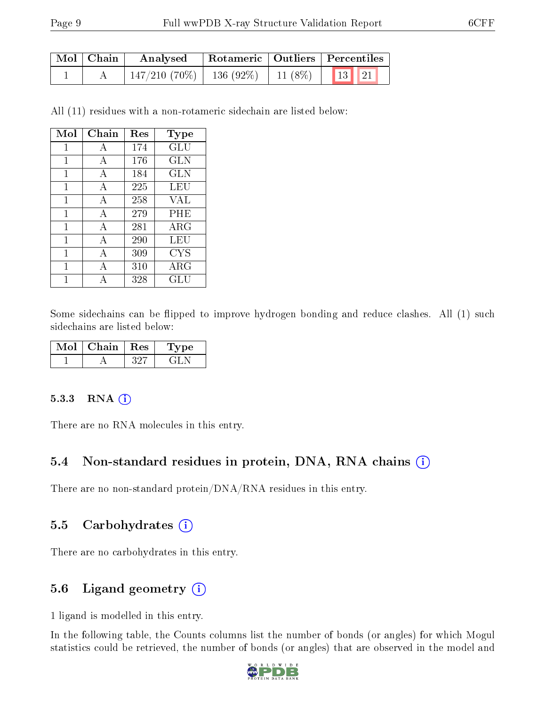| Mol   Chain | Analysed                                                  |  | Rotameric   Outliers   Percentiles |  |  |
|-------------|-----------------------------------------------------------|--|------------------------------------|--|--|
|             | $\frac{1}{147}/210$ (70%)   136 (92%)   11 (8%)   13   21 |  |                                    |  |  |

All (11) residues with a non-rotameric sidechain are listed below:

| Mol          | Chain | Res | Type                 |
|--------------|-------|-----|----------------------|
| 1            | А     | 174 | GLU                  |
| 1            | А     | 176 | GLN                  |
| 1            | A     | 184 | GLN                  |
| 1            | А     | 225 | LEU                  |
| 1            | А     | 258 | VAL                  |
| 1            | А     | 279 | PHE                  |
| 1            | А     | 281 | $\rm{ARG}$           |
| 1            | A     | 290 | LEU                  |
| $\mathbf{1}$ | А     | 309 | <b>CYS</b>           |
| 1            | А     | 310 | ${\rm ARG}$          |
| 1            |       | 328 | $\operatorname{GLU}$ |

Some sidechains can be flipped to improve hydrogen bonding and reduce clashes. All (1) such sidechains are listed below:

| Chain | $\pm$ Res | ype |
|-------|-----------|-----|
|       |           |     |

#### 5.3.3 RNA [O](https://www.wwpdb.org/validation/2017/XrayValidationReportHelp#rna)i

There are no RNA molecules in this entry.

#### 5.4 Non-standard residues in protein, DNA, RNA chains (i)

There are no non-standard protein/DNA/RNA residues in this entry.

#### 5.5 Carbohydrates (i)

There are no carbohydrates in this entry.

#### 5.6 Ligand geometry (i)

1 ligand is modelled in this entry.

In the following table, the Counts columns list the number of bonds (or angles) for which Mogul statistics could be retrieved, the number of bonds (or angles) that are observed in the model and

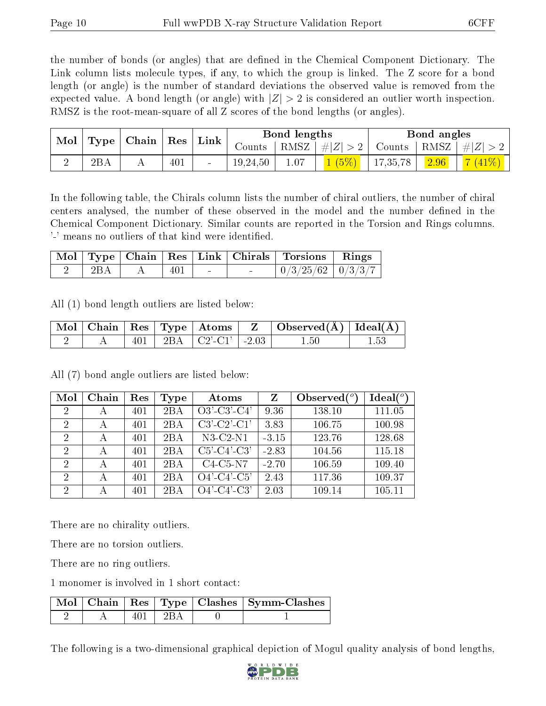the number of bonds (or angles) that are defined in the Chemical Component Dictionary. The Link column lists molecule types, if any, to which the group is linked. The Z score for a bond length (or angle) is the number of standard deviations the observed value is removed from the expected value. A bond length (or angle) with  $|Z| > 2$  is considered an outlier worth inspection. RMSZ is the root-mean-square of all Z scores of the bond lengths (or angles).

| $\bf{Mol}$<br>$\vert$ Type $\vert$ Chain $\vert$ Res $\vert$ |     |     |  |                                    |      |         |               |      |          | $^+$ Link |  | Bond lengths |  |  | Bond angles |  |
|--------------------------------------------------------------|-----|-----|--|------------------------------------|------|---------|---------------|------|----------|-----------|--|--------------|--|--|-------------|--|
|                                                              |     |     |  | $\frac{1}{2}$ Counts $\frac{1}{2}$ | RMSZ | #Z  > 2 | Counts   RMSZ |      | # Z  > ? |           |  |              |  |  |             |  |
| 2BA                                                          | . . | 401 |  | 19,24,50                           | 1.07 | 1(5%)   | 17,35,78      | 2.96 | 41\%     |           |  |              |  |  |             |  |

In the following table, the Chirals column lists the number of chiral outliers, the number of chiral centers analysed, the number of these observed in the model and the number defined in the Chemical Component Dictionary. Similar counts are reported in the Torsion and Rings columns. '-' means no outliers of that kind were identified.

|  |     |  | Mol   Type   Chain   Res   Link   Chirals   Torsions   Rings |  |
|--|-----|--|--------------------------------------------------------------|--|
|  | 401 |  | $0/3/25/62$   $0/3/3/7$                                      |  |

All (1) bond length outliers are listed below:

|  |  |                                                           | $\mid$ Mol $\mid$ Chain $\mid$ Res $\mid$ Type $\mid$ Atoms $\mid$ $\mid$ Z $\mid$ Observed(Å) $\mid$ Ideal(Å) $\mid$ |  |
|--|--|-----------------------------------------------------------|-----------------------------------------------------------------------------------------------------------------------|--|
|  |  | 401   2BA   $C2$ <sup>'</sup> - $C1$ <sup>'</sup>   -2.03 | 1.50                                                                                                                  |  |

All (7) bond angle outliers are listed below:

| Mol            | Chain | Res | Type | Atoms                             | Z       | Observed $(^\circ)$ | Ideal $(°)$ |
|----------------|-------|-----|------|-----------------------------------|---------|---------------------|-------------|
| $\overline{2}$ | А     | 401 | 2BA  | $O3'\overline{C3'\overline{C4'}}$ | 9.36    | 138.10              | 111.05      |
| $\overline{2}$ | А     | 401 | 2BA  | $C3'-C2'-C1'$                     | 3.83    | 106.75              | 100.98      |
| 2              | А     | 401 | 2BA  | $N3-C2-N1$                        | $-3.15$ | 123.76              | 128.68      |
| $\overline{2}$ | А     | 401 | 2BA  | $C5'-C4'-C3'$                     | $-2.83$ | 104.56              | 115.18      |
| $\overline{2}$ | А     | 401 | 2BA  | $C4-C5-N7$                        | $-2.70$ | 106.59              | 109.40      |
| $\overline{2}$ | А     | 401 | 2BA  | $O4'-C4'-C5'$                     | 2.43    | 117.36              | 109.37      |
| $\overline{2}$ |       | 401 | 2BA  | $O4'$ -C4'-C3'                    | 2.03    | 109.14              | 105.11      |

There are no chirality outliers.

There are no torsion outliers.

There are no ring outliers.

1 monomer is involved in 1 short contact:

|  |                    | Mol   Chain   Res   Type   Clashes   Symm-Clashes |
|--|--------------------|---------------------------------------------------|
|  | $\Box$ 2R $\Delta$ |                                                   |

The following is a two-dimensional graphical depiction of Mogul quality analysis of bond lengths,

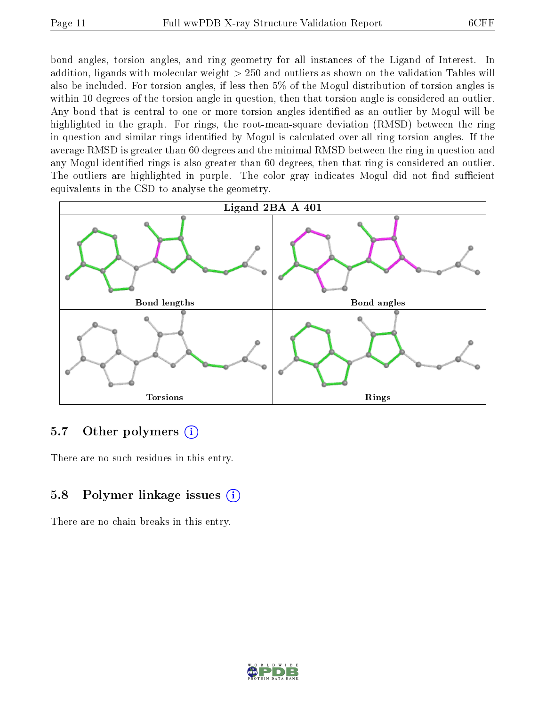bond angles, torsion angles, and ring geometry for all instances of the Ligand of Interest. In addition, ligands with molecular weight > 250 and outliers as shown on the validation Tables will also be included. For torsion angles, if less then 5% of the Mogul distribution of torsion angles is within 10 degrees of the torsion angle in question, then that torsion angle is considered an outlier. Any bond that is central to one or more torsion angles identified as an outlier by Mogul will be highlighted in the graph. For rings, the root-mean-square deviation (RMSD) between the ring in question and similar rings identified by Mogul is calculated over all ring torsion angles. If the average RMSD is greater than 60 degrees and the minimal RMSD between the ring in question and any Mogul-identified rings is also greater than 60 degrees, then that ring is considered an outlier. The outliers are highlighted in purple. The color gray indicates Mogul did not find sufficient equivalents in the CSD to analyse the geometry.



### 5.7 [O](https://www.wwpdb.org/validation/2017/XrayValidationReportHelp#nonstandard_residues_and_ligands)ther polymers  $(i)$

There are no such residues in this entry.

## 5.8 Polymer linkage issues  $(i)$

There are no chain breaks in this entry.

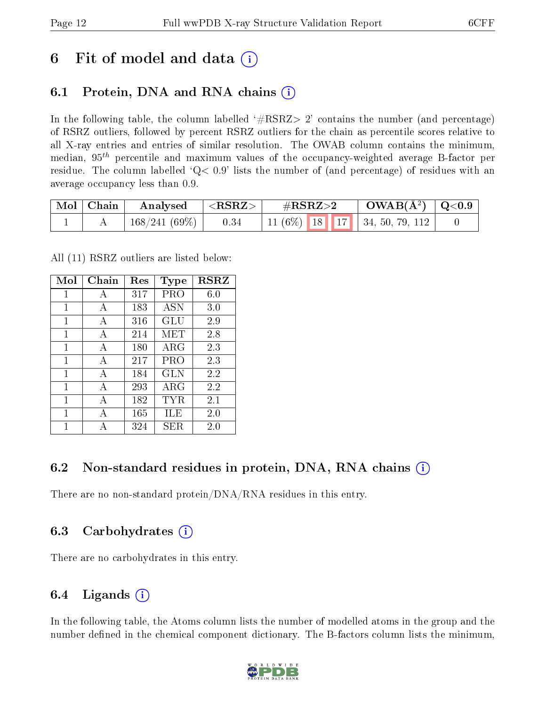## 6 Fit of model and data  $\left( \cdot \right)$

## 6.1 Protein, DNA and RNA chains (i)

In the following table, the column labelled  $#RSRZ>2'$  contains the number (and percentage) of RSRZ outliers, followed by percent RSRZ outliers for the chain as percentile scores relative to all X-ray entries and entries of similar resolution. The OWAB column contains the minimum, median,  $95<sup>th</sup>$  percentile and maximum values of the occupancy-weighted average B-factor per residue. The column labelled  $Q< 0.9$  lists the number of (and percentage) of residues with an average occupancy less than 0.9.

| Mol   Chain | Analysed      | $^+$ <rsrz></rsrz> | $\#\text{RSRZ}\text{>2}$ | $\sim$ OWAB(Å <sup>2</sup> )   Q<0.9 |  |
|-------------|---------------|--------------------|--------------------------|--------------------------------------|--|
|             | 168/241 (69%) | 0.34               |                          | 11 (6%)   18   17   34, 50, 79, 112  |  |

All (11) RSRZ outliers are listed below:

| Mol | Chain        | Res<br>Type |            | <b>RSRZ</b> |  |
|-----|--------------|-------------|------------|-------------|--|
| 1   | А            | 317         | PRO        | 6.0         |  |
| 1   | A            | 183         | <b>ASN</b> | 3.0         |  |
| 1   | A            | 316         | <b>GLU</b> | 2.9         |  |
| 1   | А            | 214         | MET        | 2.8         |  |
| 1   | A            | 180         | $\rm{ARG}$ | 2.3         |  |
| 1   | A            | 217         | PRO        | 2.3         |  |
| 1   | $\mathbf{A}$ | 184         | <b>GLN</b> | 2.2         |  |
| 1   | A            | 293         | ARG        | 2.2         |  |
| 1   | А            | 182         | TYR        | 2.1         |  |
| 1   | A            | 165         | ILE        | 2.0         |  |
|     |              | 324         | SER        | 2.0         |  |

### 6.2 Non-standard residues in protein, DNA, RNA chains (i)

There are no non-standard protein/DNA/RNA residues in this entry.

#### 6.3 Carbohydrates (i)

There are no carbohydrates in this entry.

### 6.4 Ligands  $(i)$

In the following table, the Atoms column lists the number of modelled atoms in the group and the number defined in the chemical component dictionary. The B-factors column lists the minimum,